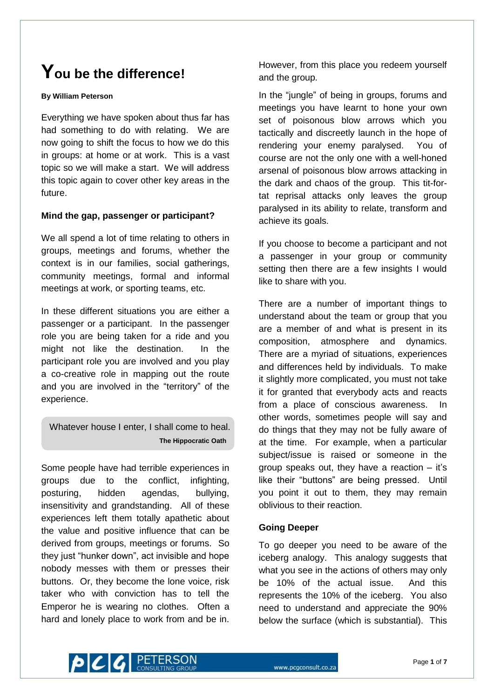# **You be the difference!**

#### **By William Peterson**

Everything we have spoken about thus far has had something to do with relating. We are now going to shift the focus to how we do this in groups: at home or at work. This is a vast topic so we will make a start. We will address this topic again to cover other key areas in the future.

# **Mind the gap, passenger or participant?**

We all spend a lot of time relating to others in groups, meetings and forums, whether the context is in our families, social gatherings, community meetings, formal and informal meetings at work, or sporting teams, etc.

In these different situations you are either a passenger or a participant. In the passenger role you are being taken for a ride and you might not like the destination. In the participant role you are involved and you play a co-creative role in mapping out the route and you are involved in the "territory" of the experience.

Whatever house I enter, I shall come to heal. **The Hippocratic Oath**

Some people have had terrible experiences in groups due to the conflict, infighting, posturing, hidden agendas, bullying, insensitivity and grandstanding. All of these experiences left them totally apathetic about the value and positive influence that can be derived from groups, meetings or forums. So they just "hunker down", act invisible and hope nobody messes with them or presses their buttons. Or, they become the lone voice, risk taker who with conviction has to tell the Emperor he is wearing no clothes. Often a hard and lonely place to work from and be in.

However, from this place you redeem yourself and the group.

In the "jungle" of being in groups, forums and meetings you have learnt to hone your own set of poisonous blow arrows which you tactically and discreetly launch in the hope of rendering your enemy paralysed. You of course are not the only one with a well-honed arsenal of poisonous blow arrows attacking in the dark and chaos of the group. This tit-fortat reprisal attacks only leaves the group paralysed in its ability to relate, transform and achieve its goals.

If you choose to become a participant and not a passenger in your group or community setting then there are a few insights I would like to share with you.

There are a number of important things to understand about the team or group that you are a member of and what is present in its composition, atmosphere and dynamics. There are a myriad of situations, experiences and differences held by individuals. To make it slightly more complicated, you must not take it for granted that everybody acts and reacts from a place of conscious awareness. In other words, sometimes people will say and do things that they may not be fully aware of at the time. For example, when a particular subject/issue is raised or someone in the group speaks out, they have a reaction – it's like their "buttons" are being pressed. Until you point it out to them, they may remain oblivious to their reaction.

# **Going Deeper**

To go deeper you need to be aware of the iceberg analogy. This analogy suggests that what you see in the actions of others may only be 10% of the actual issue. And this represents the 10% of the iceberg. You also need to understand and appreciate the 90% below the surface (which is substantial). This

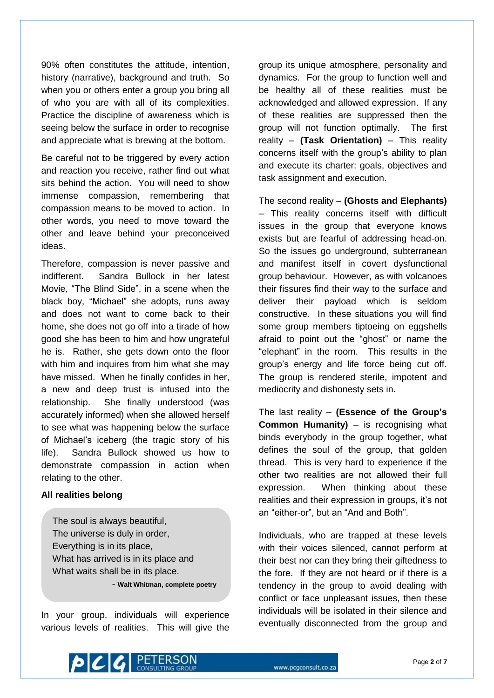90% often constitutes the attitude, intention, history (narrative), background and truth. So when you or others enter a group you bring all of who you are with all of its complexities. Practice the discipline of awareness which is seeing below the surface in order to recognise and appreciate what is brewing at the bottom.

Be careful not to be triggered by every action and reaction you receive, rather find out what sits behind the action. You will need to show immense compassion, remembering that compassion means to be moved to action. In other words, you need to move toward the other and leave behind your preconceived ideas.

Therefore, compassion is never passive and indifferent. Sandra Bullock in her latest Movie, "The Blind Side", in a scene when the black boy, "Michael" she adopts, runs away and does not want to come back to their home, she does not go off into a tirade of how good she has been to him and how ungrateful he is. Rather, she gets down onto the floor with him and inquires from him what she may have missed. When he finally confides in her, a new and deep trust is infused into the relationship. She finally understood (was accurately informed) when she allowed herself to see what was happening below the surface of Michael's iceberg (the tragic story of his life). Sandra Bullock showed us how to demonstrate compassion in action when relating to the other.

## **All realities belong**

The soul is always beautiful, The universe is duly in order, Everything is in its place, What has arrived is in its place and What waits shall be in its place.

- **Walt Whitman, complete poetry**

In your group, individuals will experience various levels of realities. This will give the group its unique atmosphere, personality and dynamics. For the group to function well and be healthy all of these realities must be acknowledged and allowed expression. If any of these realities are suppressed then the group will not function optimally. The first reality – **(Task Orientation)** – This reality concerns itself with the group's ability to plan and execute its charter: goals, objectives and task assignment and execution.

The second reality – **(Ghosts and Elephants)** – This reality concerns itself with difficult issues in the group that everyone knows exists but are fearful of addressing head-on. So the issues go underground, subterranean and manifest itself in covert dysfunctional group behaviour. However, as with volcanoes their fissures find their way to the surface and deliver their payload which is seldom constructive. In these situations you will find some group members tiptoeing on eggshells afraid to point out the "ghost" or name the "elephant" in the room. This results in the group's energy and life force being cut off. The group is rendered sterile, impotent and mediocrity and dishonesty sets in.

The last reality – **(Essence of the Group's Common Humanity)** – is recognising what binds everybody in the group together, what defines the soul of the group, that golden thread. This is very hard to experience if the other two realities are not allowed their full expression. When thinking about these realities and their expression in groups, it's not an "either-or", but an "And and Both".

Individuals, who are trapped at these levels with their voices silenced, cannot perform at their best nor can they bring their giftedness to the fore. If they are not heard or if there is a tendency in the group to avoid dealing with conflict or face unpleasant issues, then these individuals will be isolated in their silence and eventually disconnected from the group and

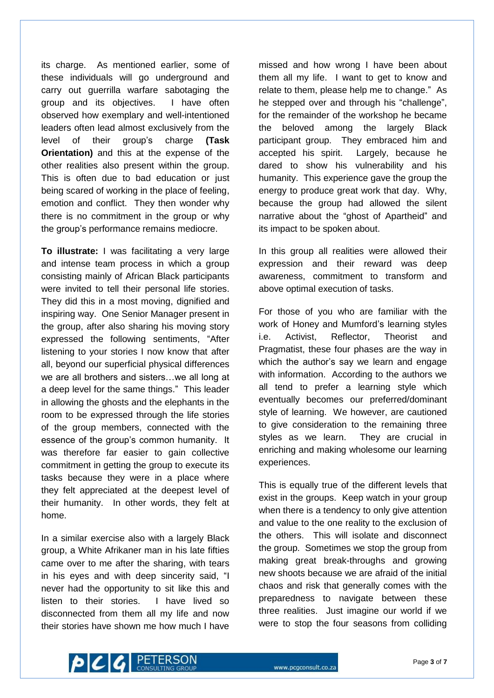its charge. As mentioned earlier, some of these individuals will go underground and carry out guerrilla warfare sabotaging the group and its objectives. I have often observed how exemplary and well-intentioned leaders often lead almost exclusively from the level of their group's charge **(Task Orientation)** and this at the expense of the other realities also present within the group. This is often due to bad education or just being scared of working in the place of feeling, emotion and conflict. They then wonder why there is no commitment in the group or why the group's performance remains mediocre.

**To illustrate:** I was facilitating a very large and intense team process in which a group consisting mainly of African Black participants were invited to tell their personal life stories. They did this in a most moving, dignified and inspiring way. One Senior Manager present in the group, after also sharing his moving story expressed the following sentiments, "After listening to your stories I now know that after all, beyond our superficial physical differences we are all brothers and sisters…we all long at a deep level for the same things." This leader in allowing the ghosts and the elephants in the room to be expressed through the life stories of the group members, connected with the essence of the group's common humanity. It was therefore far easier to gain collective commitment in getting the group to execute its tasks because they were in a place where they felt appreciated at the deepest level of their humanity. In other words, they felt at home.

In a similar exercise also with a largely Black group, a White Afrikaner man in his late fifties came over to me after the sharing, with tears in his eyes and with deep sincerity said, "I never had the opportunity to sit like this and listen to their stories. I have lived so disconnected from them all my life and now their stories have shown me how much I have

missed and how wrong I have been about them all my life. I want to get to know and relate to them, please help me to change." As he stepped over and through his "challenge", for the remainder of the workshop he became the beloved among the largely Black participant group. They embraced him and accepted his spirit. Largely, because he dared to show his vulnerability and his humanity. This experience gave the group the energy to produce great work that day. Why, because the group had allowed the silent narrative about the "ghost of Apartheid" and its impact to be spoken about.

In this group all realities were allowed their expression and their reward was deep awareness, commitment to transform and above optimal execution of tasks.

For those of you who are familiar with the work of Honey and Mumford's learning styles i.e. Activist, Reflector, Theorist and Pragmatist, these four phases are the way in which the author's say we learn and engage with information. According to the authors we all tend to prefer a learning style which eventually becomes our preferred/dominant style of learning. We however, are cautioned to give consideration to the remaining three styles as we learn. They are crucial in enriching and making wholesome our learning experiences.

This is equally true of the different levels that exist in the groups. Keep watch in your group when there is a tendency to only give attention and value to the one reality to the exclusion of the others. This will isolate and disconnect the group. Sometimes we stop the group from making great break-throughs and growing new shoots because we are afraid of the initial chaos and risk that generally comes with the preparedness to navigate between these three realities. Just imagine our world if we were to stop the four seasons from colliding

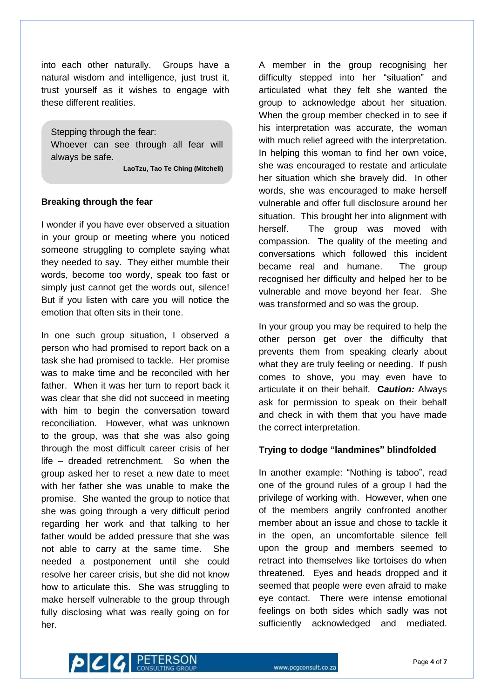into each other naturally. Groups have a natural wisdom and intelligence, just trust it, trust yourself as it wishes to engage with these different realities.

Stepping through the fear: Whoever can see through all fear will always be safe. **LaoTzu, Tao Te Ching (Mitchell)**

#### **Breaking through the fear**

I wonder if you have ever observed a situation in your group or meeting where you noticed someone struggling to complete saying what they needed to say. They either mumble their words, become too wordy, speak too fast or simply just cannot get the words out, silence! But if you listen with care you will notice the emotion that often sits in their tone.

In one such group situation, I observed a person who had promised to report back on a task she had promised to tackle. Her promise was to make time and be reconciled with her father. When it was her turn to report back it was clear that she did not succeed in meeting with him to begin the conversation toward reconciliation. However, what was unknown to the group, was that she was also going through the most difficult career crisis of her life – dreaded retrenchment. So when the group asked her to reset a new date to meet with her father she was unable to make the promise. She wanted the group to notice that she was going through a very difficult period regarding her work and that talking to her father would be added pressure that she was not able to carry at the same time. She needed a postponement until she could resolve her career crisis, but she did not know how to articulate this. She was struggling to make herself vulnerable to the group through fully disclosing what was really going on for her.

A member in the group recognising her difficulty stepped into her "situation" and articulated what they felt she wanted the group to acknowledge about her situation. When the group member checked in to see if his interpretation was accurate, the woman with much relief agreed with the interpretation. In helping this woman to find her own voice, she was encouraged to restate and articulate her situation which she bravely did. In other words, she was encouraged to make herself vulnerable and offer full disclosure around her situation. This brought her into alignment with herself. The group was moved with compassion. The quality of the meeting and conversations which followed this incident became real and humane. The group recognised her difficulty and helped her to be vulnerable and move beyond her fear. She was transformed and so was the group.

In your group you may be required to help the other person get over the difficulty that prevents them from speaking clearly about what they are truly feeling or needing. If push comes to shove, you may even have to articulate it on their behalf. **C***aution:* Always ask for permission to speak on their behalf and check in with them that you have made the correct interpretation.

## **Trying to dodge "landmines" blindfolded**

In another example: "Nothing is taboo", read one of the ground rules of a group I had the privilege of working with. However, when one of the members angrily confronted another member about an issue and chose to tackle it in the open, an uncomfortable silence fell upon the group and members seemed to retract into themselves like tortoises do when threatened. Eyes and heads dropped and it seemed that people were even afraid to make eye contact. There were intense emotional feelings on both sides which sadly was not sufficiently acknowledged and mediated.

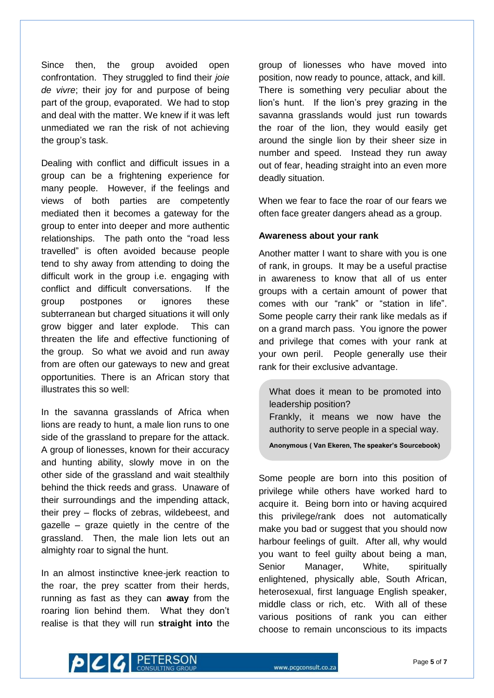Since then, the group avoided open confrontation. They struggled to find their *joie de vivre*; their joy for and purpose of being part of the group, evaporated. We had to stop and deal with the matter. We knew if it was left unmediated we ran the risk of not achieving the group's task.

Dealing with conflict and difficult issues in a group can be a frightening experience for many people. However, if the feelings and views of both parties are competently mediated then it becomes a gateway for the group to enter into deeper and more authentic relationships. The path onto the "road less travelled" is often avoided because people tend to shy away from attending to doing the difficult work in the group i.e. engaging with conflict and difficult conversations. If the group postpones or ignores these subterranean but charged situations it will only grow bigger and later explode. This can threaten the life and effective functioning of the group. So what we avoid and run away from are often our gateways to new and great opportunities. There is an African story that illustrates this so well:

In the savanna grasslands of Africa when lions are ready to hunt, a male lion runs to one side of the grassland to prepare for the attack. A group of lionesses, known for their accuracy and hunting ability, slowly move in on the other side of the grassland and wait stealthily behind the thick reeds and grass. Unaware of their surroundings and the impending attack, their prey – flocks of zebras, wildebeest, and gazelle – graze quietly in the centre of the grassland. Then, the male lion lets out an almighty roar to signal the hunt.

In an almost instinctive knee-jerk reaction to the roar, the prey scatter from their herds, running as fast as they can **away** from the roaring lion behind them. What they don't realise is that they will run **straight into** the

group of lionesses who have moved into position, now ready to pounce, attack, and kill. There is something very peculiar about the lion's hunt. If the lion's prey grazing in the savanna grasslands would just run towards the roar of the lion, they would easily get around the single lion by their sheer size in number and speed. Instead they run away out of fear, heading straight into an even more deadly situation.

When we fear to face the roar of our fears we often face greater dangers ahead as a group.

## **Awareness about your rank**

Another matter I want to share with you is one of rank, in groups. It may be a useful practise in awareness to know that all of us enter groups with a certain amount of power that comes with our "rank" or "station in life". Some people carry their rank like medals as if on a grand march pass. You ignore the power and privilege that comes with your rank at your own peril. People generally use their rank for their exclusive advantage.

What does it mean to be promoted into leadership position? Frankly, it means we now have the authority to serve people in a special way.

**Anonymous ( Van Ekeren, The speaker's Sourcebook)**

Some people are born into this position of privilege while others have worked hard to acquire it. Being born into or having acquired this privilege/rank does not automatically make you bad or suggest that you should now harbour feelings of guilt. After all, why would you want to feel guilty about being a man, Senior Manager, White, spiritually enlightened, physically able, South African, heterosexual, first language English speaker, middle class or rich, etc. With all of these various positions of rank you can either choose to remain unconscious to its impacts

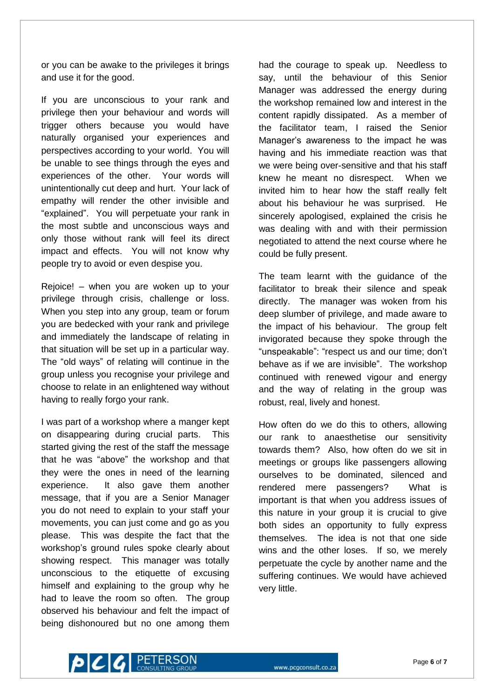or you can be awake to the privileges it brings and use it for the good.

If you are unconscious to your rank and privilege then your behaviour and words will trigger others because you would have naturally organised your experiences and perspectives according to your world. You will be unable to see things through the eyes and experiences of the other. Your words will unintentionally cut deep and hurt. Your lack of empathy will render the other invisible and "explained". You will perpetuate your rank in the most subtle and unconscious ways and only those without rank will feel its direct impact and effects. You will not know why people try to avoid or even despise you.

Rejoice! – when you are woken up to your privilege through crisis, challenge or loss. When you step into any group, team or forum you are bedecked with your rank and privilege and immediately the landscape of relating in that situation will be set up in a particular way. The "old ways" of relating will continue in the group unless you recognise your privilege and choose to relate in an enlightened way without having to really forgo your rank.

I was part of a workshop where a manger kept on disappearing during crucial parts. This started giving the rest of the staff the message that he was "above" the workshop and that they were the ones in need of the learning experience. It also gave them another message, that if you are a Senior Manager you do not need to explain to your staff your movements, you can just come and go as you please. This was despite the fact that the workshop's ground rules spoke clearly about showing respect. This manager was totally unconscious to the etiquette of excusing himself and explaining to the group why he had to leave the room so often. The group observed his behaviour and felt the impact of being dishonoured but no one among them

had the courage to speak up. Needless to say, until the behaviour of this Senior Manager was addressed the energy during the workshop remained low and interest in the content rapidly dissipated. As a member of the facilitator team, I raised the Senior Manager's awareness to the impact he was having and his immediate reaction was that we were being over-sensitive and that his staff knew he meant no disrespect. When we invited him to hear how the staff really felt about his behaviour he was surprised. He sincerely apologised, explained the crisis he was dealing with and with their permission negotiated to attend the next course where he could be fully present.

The team learnt with the guidance of the facilitator to break their silence and speak directly. The manager was woken from his deep slumber of privilege, and made aware to the impact of his behaviour. The group felt invigorated because they spoke through the "unspeakable": "respect us and our time; don't behave as if we are invisible". The workshop continued with renewed vigour and energy and the way of relating in the group was robust, real, lively and honest.

How often do we do this to others, allowing our rank to anaesthetise our sensitivity towards them? Also, how often do we sit in meetings or groups like passengers allowing ourselves to be dominated, silenced and rendered mere passengers? What is important is that when you address issues of this nature in your group it is crucial to give both sides an opportunity to fully express themselves. The idea is not that one side wins and the other loses. If so, we merely perpetuate the cycle by another name and the suffering continues. We would have achieved very little.